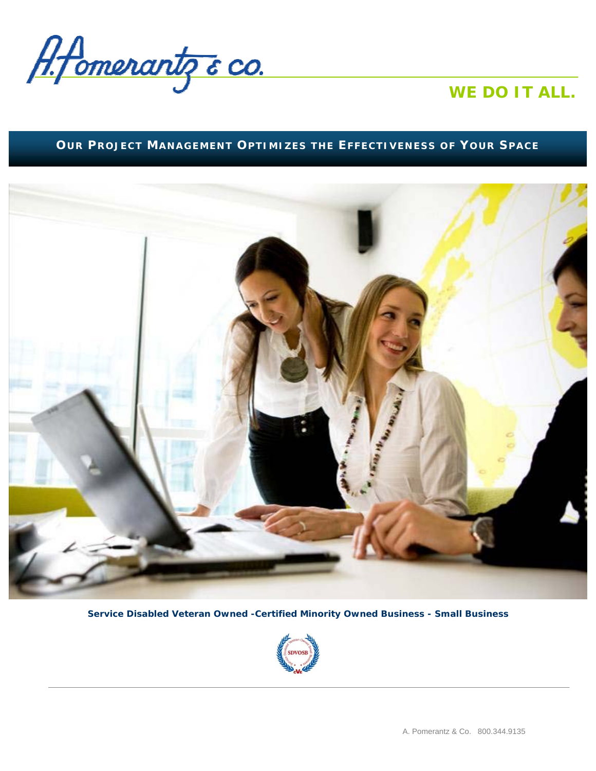

## *WE DO IT ALL.*

### **OUR PROJECT MANAGEMENT OPTIMIZES THE EFFECTIVENESS OF YOUR SPACE**



**Service Disabled Veteran Owned -Certified Minority Owned Business - Small Business** 

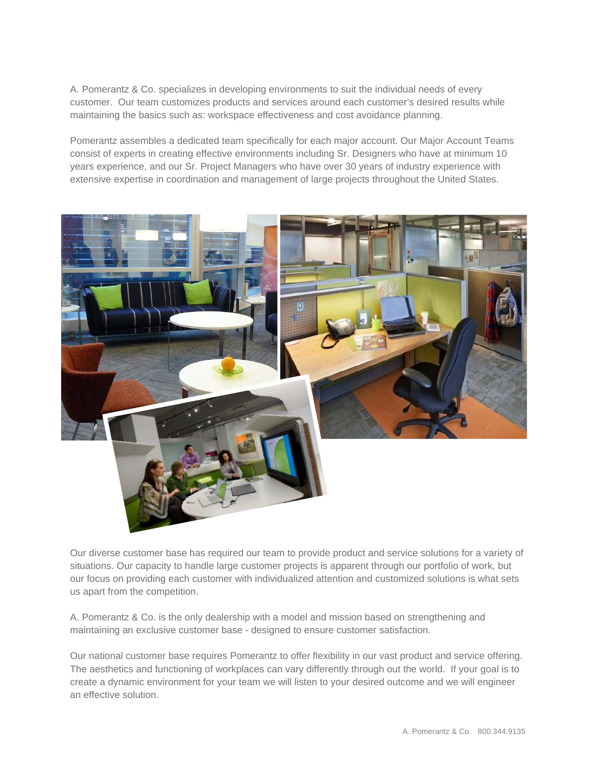A. Pomerantz & Co. specializes in developing environments to suit the individual needs of every customer. Our team customizes products and services around each customer's desired results while maintaining the basics such as: workspace effectiveness and cost avoidance planning.

Pomerantz assembles a dedicated team specifically for each major account. Our Major Account Teams consist of experts in creating effective environments including Sr. Designers who have at minimum 10 years experience, and our Sr. Project Managers who have over 30 years of industry experience with extensive expertise in coordination and management of large projects throughout the United States.



Our diverse customer base has required our team to provide product and service solutions for a variety of situations. Our capacity to handle large customer projects is apparent through our portfolio of work, but our focus on providing each customer with individualized attention and customized solutions is what sets us apart from the competition.

A. Pomerantz & Co. is the only dealership with a model and mission based on strengthening and maintaining an exclusive customer base - designed to ensure customer satisfaction.

Our national customer base requires Pomerantz to offer flexibility in our vast product and service offering. The aesthetics and functioning of workplaces can vary differently through out the world. If your goal is to create a dynamic environment for your team we will listen to your desired outcome and we will engineer an effective solution.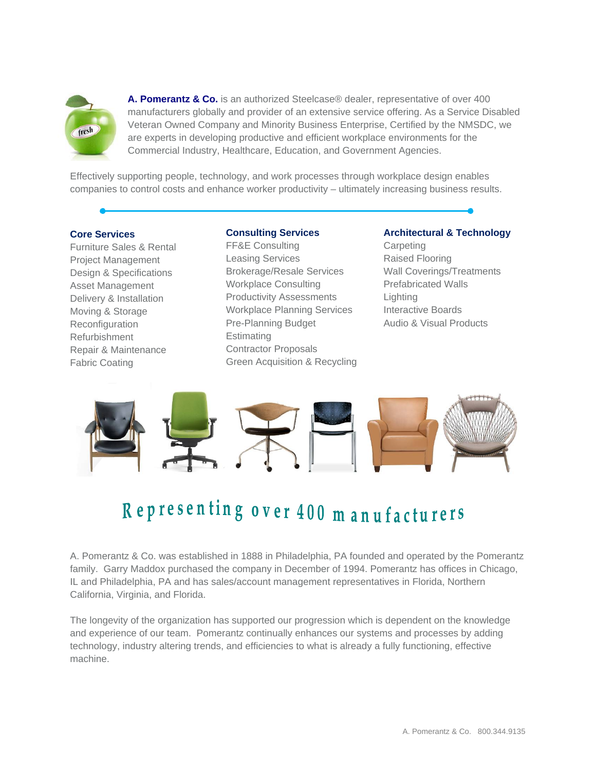

**A. Pomerantz & Co.** is an authorized Steelcase® dealer, representative of over 400 manufacturers globally and provider of an extensive service offering. As a Service Disabled Veteran Owned Company and Minority Business Enterprise, Certified by the NMSDC, we are experts in developing productive and efficient workplace environments for the Commercial Industry, Healthcare, Education, and Government Agencies.

Effectively supporting people, technology, and work processes through workplace design enables companies to control costs and enhance worker productivity – ultimately increasing business results.

#### **Core Services**

Furniture Sales & Rental Project Management Design & Specifications Asset Management Delivery & Installation Moving & Storage **Reconfiguration** Refurbishment Repair & Maintenance Fabric Coating

#### **Consulting Services**

FF&E Consulting Leasing Services Brokerage/Resale Services Workplace Consulting Productivity Assessments Workplace Planning Services Pre-Planning Budget Estimating Contractor Proposals Green Acquisition & Recycling

#### **Architectural & Technology**  Carpeting Raised Flooring Wall Coverings/Treatments Prefabricated Walls **Lighting** Interactive Boards Audio & Visual Products



# Representing over 400 m anufacturers

A. Pomerantz & Co. was established in 1888 in Philadelphia, PA founded and operated by the Pomerantz family. Garry Maddox purchased the company in December of 1994. Pomerantz has offices in Chicago, IL and Philadelphia, PA and has sales/account management representatives in Florida, Northern California, Virginia, and Florida.

The longevity of the organization has supported our progression which is dependent on the knowledge and experience of our team. Pomerantz continually enhances our systems and processes by adding technology, industry altering trends, and efficiencies to what is already a fully functioning, effective machine.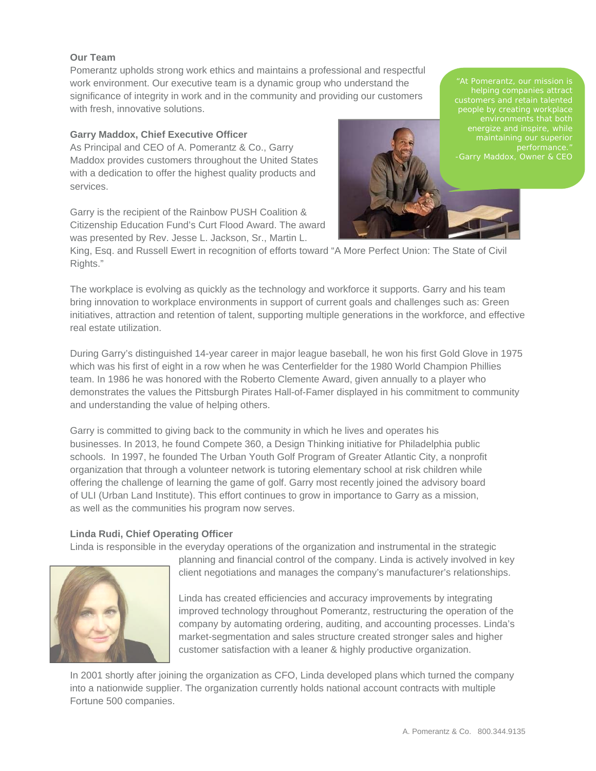#### **Our Team**

Pomerantz upholds strong work ethics and maintains a professional and respectful work environment. Our executive team is a dynamic group who understand the significance of integrity in work and in the community and providing our customers with fresh, innovative solutions.

#### **Garry Maddox, Chief Executive Officer**

As Principal and CEO of A. Pomerantz & Co., Garry Maddox provides customers throughout the United States with a dedication to offer the highest quality products and services.

Garry is the recipient of the Rainbow PUSH Coalition & Citizenship Education Fund's Curt Flood Award. The award was presented by Rev. Jesse L. Jackson, Sr., Martin L.



customers and retain talented -Garry Maddox, Owner & CEO

King, Esq. and Russell Ewert in recognition of efforts toward "A More Perfect Union: The State of Civil Rights."

The workplace is evolving as quickly as the technology and workforce it supports. Garry and his team bring innovation to workplace environments in support of current goals and challenges such as: Green initiatives, attraction and retention of talent, supporting multiple generations in the workforce, and effective real estate utilization.

During Garry's distinguished 14-year career in major league baseball, he won his first Gold Glove in 1975 which was his first of eight in a row when he was Centerfielder for the 1980 World Champion Phillies team. In 1986 he was honored with the Roberto Clemente Award, given annually to a player who demonstrates the values the Pittsburgh Pirates Hall-of-Famer displayed in his commitment to community and understanding the value of helping others.

Garry is committed to giving back to the community in which he lives and operates his businesses. In 2013, he found Compete 360, a Design Thinking initiative for Philadelphia public schools. In 1997, he founded The Urban Youth Golf Program of Greater Atlantic City, a nonprofit organization that through a volunteer network is tutoring elementary school at risk children while offering the challenge of learning the game of golf. Garry most recently joined the advisory board of ULI (Urban Land Institute). This effort continues to grow in importance to Garry as a mission, as well as the communities his program now serves.

#### **Linda Rudi, Chief Operating Officer**

Linda is responsible in the everyday operations of the organization and instrumental in the strategic



planning and financial control of the company. Linda is actively involved in key client negotiations and manages the company's manufacturer's relationships.

Linda has created efficiencies and accuracy improvements by integrating improved technology throughout Pomerantz, restructuring the operation of the company by automating ordering, auditing, and accounting processes. Linda's market-segmentation and sales structure created stronger sales and higher customer satisfaction with a leaner & highly productive organization.

In 2001 shortly after joining the organization as CFO, Linda developed plans which turned the company into a nationwide supplier. The organization currently holds national account contracts with multiple Fortune 500 companies.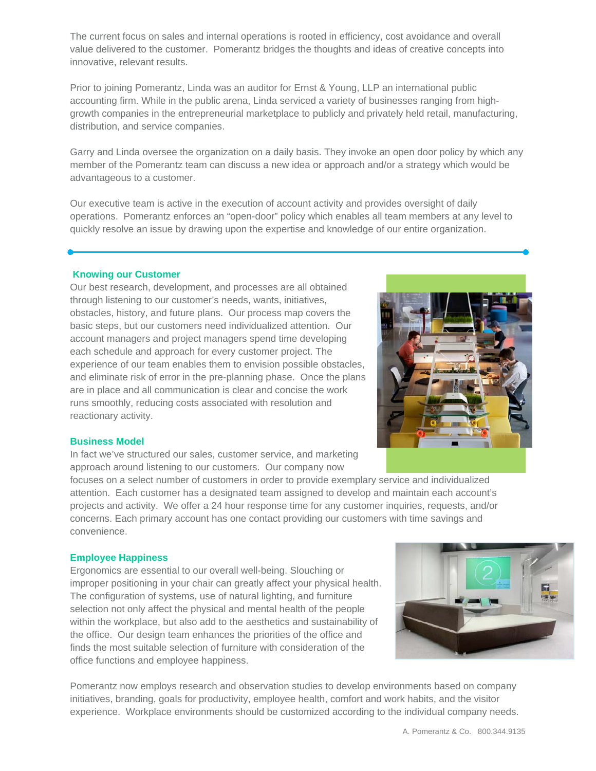The current focus on sales and internal operations is rooted in efficiency, cost avoidance and overall value delivered to the customer. Pomerantz bridges the thoughts and ideas of creative concepts into innovative, relevant results.

Prior to joining Pomerantz, Linda was an auditor for Ernst & Young, LLP an international public accounting firm. While in the public arena, Linda serviced a variety of businesses ranging from highgrowth companies in the entrepreneurial marketplace to publicly and privately held retail, manufacturing, distribution, and service companies.

Garry and Linda oversee the organization on a daily basis. They invoke an open door policy by which any member of the Pomerantz team can discuss a new idea or approach and/or a strategy which would be advantageous to a customer.

Our executive team is active in the execution of account activity and provides oversight of daily operations. Pomerantz enforces an "open-door" policy which enables all team members at any level to quickly resolve an issue by drawing upon the expertise and knowledge of our entire organization.

#### **Knowing our Customer**

Our best research, development, and processes are all obtained through listening to our customer's needs, wants, initiatives, obstacles, history, and future plans. Our process map covers the basic steps, but our customers need individualized attention. Our account managers and project managers spend time developing each schedule and approach for every customer project. The experience of our team enables them to envision possible obstacles, and eliminate risk of error in the pre-planning phase. Once the plans are in place and all communication is clear and concise the work runs smoothly, reducing costs associated with resolution and reactionary activity.

#### **Business Model**

In fact we've structured our sales, customer service, and marketing approach around listening to our customers. Our company now

focuses on a select number of customers in order to provide exemplary service and individualized attention. Each customer has a designated team assigned to develop and maintain each account's projects and activity. We offer a 24 hour response time for any customer inquiries, requests, and/or concerns. Each primary account has one contact providing our customers with time savings and convenience.

#### **Employee Happiness**

Ergonomics are essential to our overall well-being. Slouching or improper positioning in your chair can greatly affect your physical health. The configuration of systems, use of natural lighting, and furniture selection not only affect the physical and mental health of the people within the workplace, but also add to the aesthetics and sustainability of the office. Our design team enhances the priorities of the office and finds the most suitable selection of furniture with consideration of the office functions and employee happiness.

Pomerantz now employs research and observation studies to develop environments based on company initiatives, branding, goals for productivity, employee health, comfort and work habits, and the visitor experience. Workplace environments should be customized according to the individual company needs.



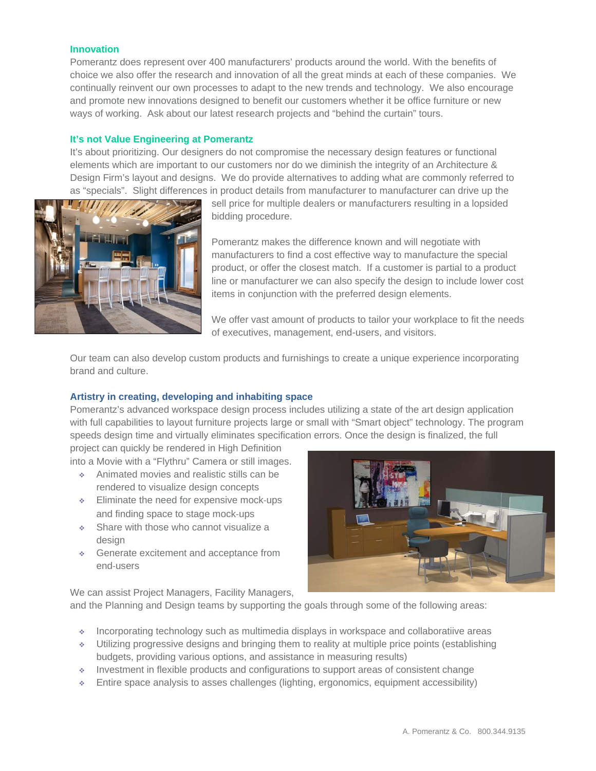#### **Innovation**

Pomerantz does represent over 400 manufacturers' products around the world. With the benefits of choice we also offer the research and innovation of all the great minds at each of these companies. We continually reinvent our own processes to adapt to the new trends and technology. We also encourage and promote new innovations designed to benefit our customers whether it be office furniture or new ways of working. Ask about our latest research projects and "behind the curtain" tours.

#### **It's not Value Engineering at Pomerantz**

It's about prioritizing. Our designers do not compromise the necessary design features or functional elements which are important to our customers nor do we diminish the integrity of an Architecture & Design Firm's layout and designs. We do provide alternatives to adding what are commonly referred to as "specials". Slight differences in product details from manufacturer to manufacturer can drive up the



sell price for multiple dealers or manufacturers resulting in a lopsided bidding procedure.

Pomerantz makes the difference known and will negotiate with manufacturers to find a cost effective way to manufacture the special product, or offer the closest match. If a customer is partial to a product line or manufacturer we can also specify the design to include lower cost items in conjunction with the preferred design elements.

We offer vast amount of products to tailor your workplace to fit the needs of executives, management, end-users, and visitors.

Our team can also develop custom products and furnishings to create a unique experience incorporating brand and culture.

#### **Artistry in creating, developing and inhabiting space**

Pomerantz's advanced workspace design process includes utilizing a state of the art design application with full capabilities to layout furniture projects large or small with "Smart object" technology. The program speeds design time and virtually eliminates specification errors. Once the design is finalized, the full

project can quickly be rendered in High Definition into a Movie with a "Flythru" Camera or still images.

- Animated movies and realistic stills can be rendered to visualize design concepts
- Eliminate the need for expensive mock‐ups and finding space to stage mock‐ups
- Share with those who cannot visualize a design
- Generate excitement and acceptance from end‐users



We can assist Project Managers, Facility Managers,

and the Planning and Design teams by supporting the goals through some of the following areas:

- Incorporating technology such as multimedia displays in workspace and collaboratiive areas
- Utilizing progressive designs and bringing them to reality at multiple price points (establishing budgets, providing various options, and assistance in measuring results)
- Investment in flexible products and configurations to support areas of consistent change
- Entire space analysis to asses challenges (lighting, ergonomics, equipment accessibility)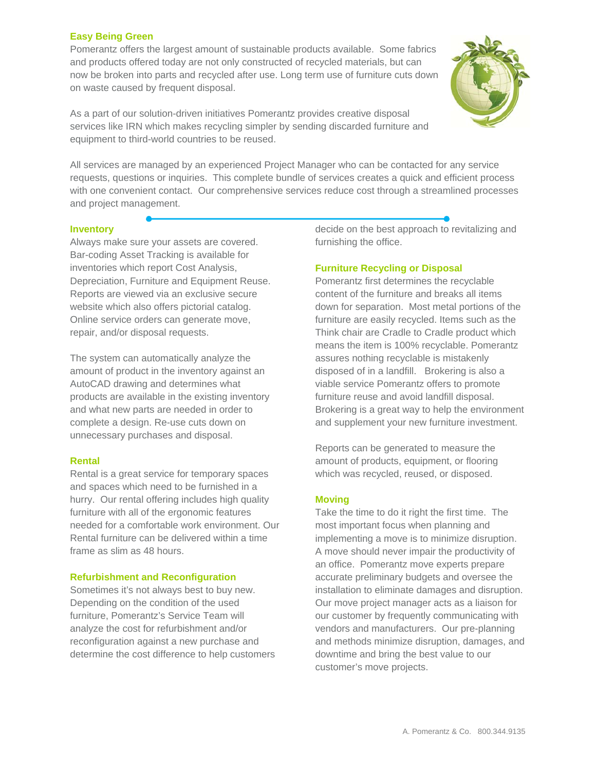#### **Easy Being Green**

Pomerantz offers the largest amount of sustainable products available. Some fabrics and products offered today are not only constructed of recycled materials, but can now be broken into parts and recycled after use. Long term use of furniture cuts down on waste caused by frequent disposal.



As a part of our solution-driven initiatives Pomerantz provides creative disposal services like IRN which makes recycling simpler by sending discarded furniture and equipment to third-world countries to be reused.

All services are managed by an experienced Project Manager who can be contacted for any service requests, questions or inquiries. This complete bundle of services creates a quick and efficient process with one convenient contact. Our comprehensive services reduce cost through a streamlined processes and project management.

#### **Inventory**

Always make sure your assets are covered. Bar-coding Asset Tracking is available for inventories which report Cost Analysis, Depreciation, Furniture and Equipment Reuse. Reports are viewed via an exclusive secure website which also offers pictorial catalog. Online service orders can generate move, repair, and/or disposal requests.

The system can automatically analyze the amount of product in the inventory against an AutoCAD drawing and determines what products are available in the existing inventory and what new parts are needed in order to complete a design. Re-use cuts down on unnecessary purchases and disposal.

#### **Rental**

Rental is a great service for temporary spaces and spaces which need to be furnished in a hurry. Our rental offering includes high quality furniture with all of the ergonomic features needed for a comfortable work environment. Our Rental furniture can be delivered within a time frame as slim as 48 hours.

#### **Refurbishment and Reconfiguration**

Sometimes it's not always best to buy new. Depending on the condition of the used furniture, Pomerantz's Service Team will analyze the cost for refurbishment and/or reconfiguration against a new purchase and determine the cost difference to help customers decide on the best approach to revitalizing and furnishing the office.

#### **Furniture Recycling or Disposal**

Pomerantz first determines the recyclable content of the furniture and breaks all items down for separation. Most metal portions of the furniture are easily recycled. Items such as the Think chair are Cradle to Cradle product which means the item is 100% recyclable. Pomerantz assures nothing recyclable is mistakenly disposed of in a landfill. Brokering is also a viable service Pomerantz offers to promote furniture reuse and avoid landfill disposal. Brokering is a great way to help the environment and supplement your new furniture investment.

Reports can be generated to measure the amount of products, equipment, or flooring which was recycled, reused, or disposed.

#### **Moving**

Take the time to do it right the first time. The most important focus when planning and implementing a move is to minimize disruption. A move should never impair the productivity of an office. Pomerantz move experts prepare accurate preliminary budgets and oversee the installation to eliminate damages and disruption. Our move project manager acts as a liaison for our customer by frequently communicating with vendors and manufacturers. Our pre-planning and methods minimize disruption, damages, and downtime and bring the best value to our customer's move projects.